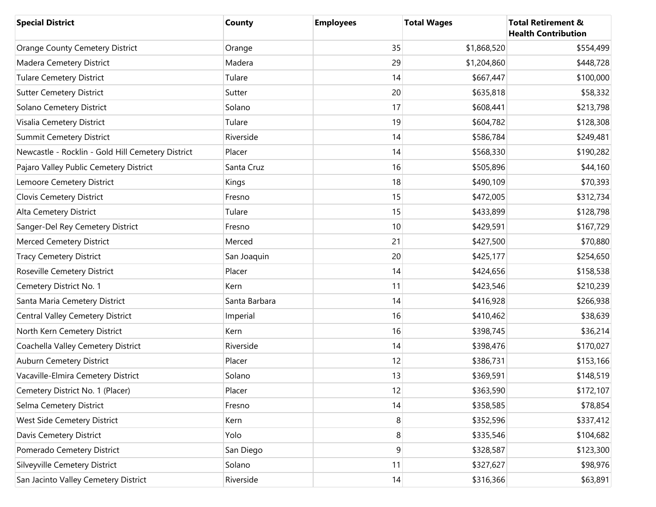| <b>Special District</b>                           | <b>County</b> | <b>Employees</b> | <b>Total Wages</b> | <b>Total Retirement &amp;</b><br><b>Health Contribution</b> |
|---------------------------------------------------|---------------|------------------|--------------------|-------------------------------------------------------------|
| <b>Orange County Cemetery District</b>            | Orange        | 35               | \$1,868,520        | \$554,499                                                   |
| Madera Cemetery District                          | Madera        | 29               | \$1,204,860        | \$448,728                                                   |
| <b>Tulare Cemetery District</b>                   | Tulare        | 14               | \$667,447          | \$100,000                                                   |
| <b>Sutter Cemetery District</b>                   | Sutter        | 20               | \$635,818          | \$58,332                                                    |
| Solano Cemetery District                          | Solano        | 17               | \$608,441          | \$213,798                                                   |
| Visalia Cemetery District                         | Tulare        | 19               | \$604,782          | \$128,308                                                   |
| <b>Summit Cemetery District</b>                   | Riverside     | 14               | \$586,784          | \$249,481                                                   |
| Newcastle - Rocklin - Gold Hill Cemetery District | Placer        | 14               | \$568,330          | \$190,282                                                   |
| Pajaro Valley Public Cemetery District            | Santa Cruz    | 16               | \$505,896          | \$44,160                                                    |
| Lemoore Cemetery District                         | Kings         | 18               | \$490,109          | \$70,393                                                    |
| Clovis Cemetery District                          | Fresno        | 15               | \$472,005          | \$312,734                                                   |
| Alta Cemetery District                            | Tulare        | 15               | \$433,899          | \$128,798                                                   |
| Sanger-Del Rey Cemetery District                  | Fresno        | 10               | \$429,591          | \$167,729                                                   |
| <b>Merced Cemetery District</b>                   | Merced        | 21               | \$427,500          | \$70,880                                                    |
| <b>Tracy Cemetery District</b>                    | San Joaquin   | 20               | \$425,177          | \$254,650                                                   |
| Roseville Cemetery District                       | Placer        | 14               | \$424,656          | \$158,538                                                   |
| Cemetery District No. 1                           | Kern          | 11               | \$423,546          | \$210,239                                                   |
| Santa Maria Cemetery District                     | Santa Barbara | 14               | \$416,928          | \$266,938                                                   |
| <b>Central Valley Cemetery District</b>           | Imperial      | 16               | \$410,462          | \$38,639                                                    |
| North Kern Cemetery District                      | Kern          | 16               | \$398,745          | \$36,214                                                    |
| Coachella Valley Cemetery District                | Riverside     | 14               | \$398,476          | \$170,027                                                   |
| Auburn Cemetery District                          | Placer        | 12               | \$386,731          | \$153,166                                                   |
| Vacaville-Elmira Cemetery District                | Solano        | 13               | \$369,591          | \$148,519                                                   |
| Cemetery District No. 1 (Placer)                  | Placer        | 12               | \$363,590          | \$172,107                                                   |
| Selma Cemetery District                           | Fresno        | 14               | \$358,585          | \$78,854                                                    |
| West Side Cemetery District                       | Kern          | 8                | \$352,596          | \$337,412                                                   |
| Davis Cemetery District                           | Yolo          | 8                | \$335,546          | \$104,682                                                   |
| Pomerado Cemetery District                        | San Diego     | $\boldsymbol{9}$ | \$328,587          | \$123,300                                                   |
| Silveyville Cemetery District                     | Solano        | 11               | \$327,627          | \$98,976                                                    |
| San Jacinto Valley Cemetery District              | Riverside     | 14               | \$316,366          | \$63,891                                                    |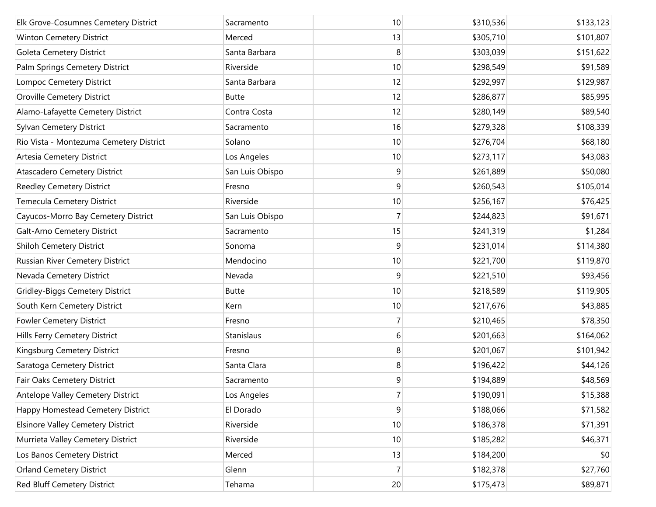| Elk Grove-Cosumnes Cemetery District     | Sacramento      | 10             | \$310,536 | \$133,123 |
|------------------------------------------|-----------------|----------------|-----------|-----------|
| Winton Cemetery District                 | Merced          | 13             | \$305,710 | \$101,807 |
| <b>Goleta Cemetery District</b>          | Santa Barbara   | 8              | \$303,039 | \$151,622 |
| Palm Springs Cemetery District           | Riverside       | 10             | \$298,549 | \$91,589  |
| Lompoc Cemetery District                 | Santa Barbara   | 12             | \$292,997 | \$129,987 |
| Oroville Cemetery District               | <b>Butte</b>    | 12             | \$286,877 | \$85,995  |
| Alamo-Lafayette Cemetery District        | Contra Costa    | 12             | \$280,149 | \$89,540  |
| Sylvan Cemetery District                 | Sacramento      | 16             | \$279,328 | \$108,339 |
| Rio Vista - Montezuma Cemetery District  | Solano          | 10             | \$276,704 | \$68,180  |
| Artesia Cemetery District                | Los Angeles     | 10             | \$273,117 | \$43,083  |
| Atascadero Cemetery District             | San Luis Obispo | 9              | \$261,889 | \$50,080  |
| <b>Reedley Cemetery District</b>         | Fresno          | 9              | \$260,543 | \$105,014 |
| Temecula Cemetery District               | Riverside       | 10             | \$256,167 | \$76,425  |
| Cayucos-Morro Bay Cemetery District      | San Luis Obispo | $\overline{7}$ | \$244,823 | \$91,671  |
| Galt-Arno Cemetery District              | Sacramento      | 15             | \$241,319 | \$1,284   |
| Shiloh Cemetery District                 | Sonoma          | 9              | \$231,014 | \$114,380 |
| Russian River Cemetery District          | Mendocino       | 10             | \$221,700 | \$119,870 |
| Nevada Cemetery District                 | Nevada          | 9              | \$221,510 | \$93,456  |
| <b>Gridley-Biggs Cemetery District</b>   | <b>Butte</b>    | 10             | \$218,589 | \$119,905 |
| South Kern Cemetery District             | Kern            | 10             | \$217,676 | \$43,885  |
| <b>Fowler Cemetery District</b>          | Fresno          | 7              | \$210,465 | \$78,350  |
| Hills Ferry Cemetery District            | Stanislaus      | 6              | \$201,663 | \$164,062 |
| Kingsburg Cemetery District              | Fresno          | 8              | \$201,067 | \$101,942 |
| Saratoga Cemetery District               | Santa Clara     | 8              | \$196,422 | \$44,126  |
| Fair Oaks Cemetery District              | Sacramento      | 9              | \$194,889 | \$48,569  |
| Antelope Valley Cemetery District        | Los Angeles     | $\overline{7}$ | \$190,091 | \$15,388  |
| Happy Homestead Cemetery District        | El Dorado       | 9              | \$188,066 | \$71,582  |
| <b>Elsinore Valley Cemetery District</b> | Riverside       | 10             | \$186,378 | \$71,391  |
| Murrieta Valley Cemetery District        | Riverside       | 10             | \$185,282 | \$46,371  |
| Los Banos Cemetery District              | Merced          | 13             | \$184,200 | \$0       |
| <b>Orland Cemetery District</b>          | Glenn           | $\overline{7}$ | \$182,378 | \$27,760  |
| Red Bluff Cemetery District              | Tehama          | 20             | \$175,473 | \$89,871  |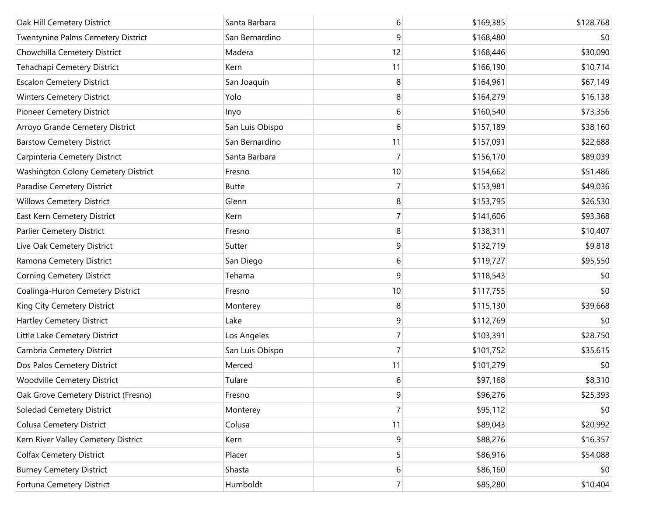| Oak Hill Cemetery District                | Santa Barbara   | 6              | \$169,385 | \$128,768 |
|-------------------------------------------|-----------------|----------------|-----------|-----------|
| <b>Twentynine Palms Cemetery District</b> | San Bernardino  | 9              | \$168,480 | \$0       |
| Chowchilla Cemetery District              | Madera          | 12             | \$168,446 | \$30,090  |
| Tehachapi Cemetery District               | Kern            | 11             | \$166,190 | \$10,714  |
| <b>Escalon Cemetery District</b>          | San Joaquin     | 8              | \$164,961 | \$67,149  |
| <b>Winters Cemetery District</b>          | Yolo            | 8              | \$164,279 | \$16,138  |
| <b>Pioneer Cemetery District</b>          | Inyo            | 6              | \$160,540 | \$73,356  |
| Arroyo Grande Cemetery District           | San Luis Obispo | 6              | \$157,189 | \$38,160  |
| <b>Barstow Cemetery District</b>          | San Bernardino  | 11             | \$157,091 | \$22,688  |
| Carpinteria Cemetery District             | Santa Barbara   | 7              | \$156,170 | \$89,039  |
| Washington Colony Cemetery District       | Fresno          | 10             | \$154,662 | \$51,486  |
| Paradise Cemetery District                | <b>Butte</b>    | 7              | \$153,981 | \$49,036  |
| <b>Willows Cemetery District</b>          | Glenn           | 8              | \$153,795 | \$26,530  |
| East Kern Cemetery District               | Kern            | 7              | \$141,606 | \$93,368  |
| Parlier Cemetery District                 | Fresno          | 8              | \$138,311 | \$10,407  |
| Live Oak Cemetery District                | Sutter          | 9              | \$132,719 | \$9,818   |
| Ramona Cemetery District                  | San Diego       | 6              | \$119,727 | \$95,550  |
| <b>Corning Cemetery District</b>          | Tehama          | 9              | \$118,543 | \$0       |
| Coalinga-Huron Cemetery District          | Fresno          | 10             | \$117,755 | \$0       |
| King City Cemetery District               | Monterey        | 8              | \$115,130 | \$39,668  |
| Hartley Cemetery District                 | Lake            | 9              | \$112,769 | \$0       |
| Little Lake Cemetery District             | Los Angeles     | 7              | \$103,391 | \$28,750  |
| Cambria Cemetery District                 | San Luis Obispo | 7              | \$101,752 | \$35,615  |
| Dos Palos Cemetery District               | Merced          | 11             | \$101,279 | \$0       |
| Woodville Cemetery District               | Tulare          | 6              | \$97,168  | \$8,310   |
| Oak Grove Cemetery District (Fresno)      | Fresno          | 9              | \$96,276  | \$25,393  |
| Soledad Cemetery District                 | Monterey        | $\overline{7}$ | \$95,112  | \$0       |
| <b>Colusa Cemetery District</b>           | Colusa          | 11             | \$89,043  | \$20,992  |
| Kern River Valley Cemetery District       | Kern            | 9              | \$88,276  | \$16,357  |
| <b>Colfax Cemetery District</b>           | Placer          | 5              | \$86,916  | \$54,088  |
| <b>Burney Cemetery District</b>           | Shasta          | $6 \mid$       | \$86,160  | \$0       |
| Fortuna Cemetery District                 | Humboldt        | $\overline{7}$ | \$85,280  | \$10,404  |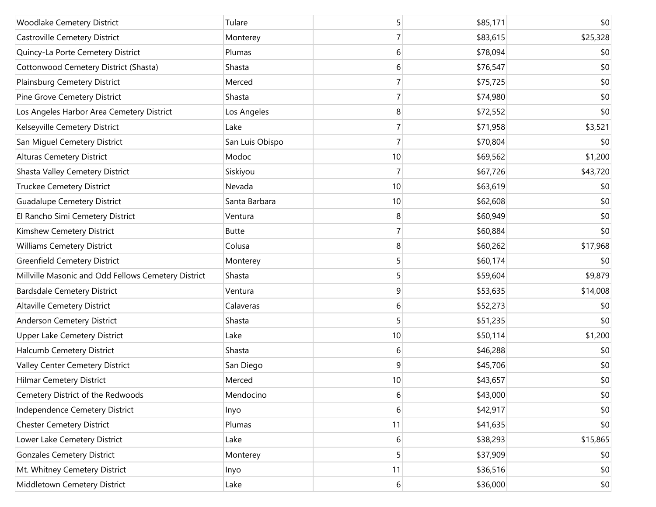| Woodlake Cemetery District                          | Tulare          | 5              | \$85,171 | \$0      |
|-----------------------------------------------------|-----------------|----------------|----------|----------|
| Castroville Cemetery District                       | Monterey        | 7              | \$83,615 | \$25,328 |
| Quincy-La Porte Cemetery District                   | Plumas          | 6              | \$78,094 | \$0      |
| Cottonwood Cemetery District (Shasta)               | Shasta          | 6              | \$76,547 | \$0      |
| Plainsburg Cemetery District                        | Merced          | 7              | \$75,725 | \$0      |
| Pine Grove Cemetery District                        | Shasta          | 7              | \$74,980 | \$0      |
| Los Angeles Harbor Area Cemetery District           | Los Angeles     | 8              | \$72,552 | \$0      |
| Kelseyville Cemetery District                       | Lake            | 7              | \$71,958 | \$3,521  |
| San Miguel Cemetery District                        | San Luis Obispo | $\overline{7}$ | \$70,804 | \$0      |
| <b>Alturas Cemetery District</b>                    | Modoc           | 10             | \$69,562 | \$1,200  |
| Shasta Valley Cemetery District                     | Siskiyou        | 7              | \$67,726 | \$43,720 |
| <b>Truckee Cemetery District</b>                    | Nevada          | 10             | \$63,619 | \$0      |
| <b>Guadalupe Cemetery District</b>                  | Santa Barbara   | 10             | \$62,608 | \$0      |
| El Rancho Simi Cemetery District                    | Ventura         | 8              | \$60,949 | \$0      |
| Kimshew Cemetery District                           | <b>Butte</b>    | $\overline{7}$ | \$60,884 | \$0      |
| <b>Williams Cemetery District</b>                   | Colusa          | 8              | \$60,262 | \$17,968 |
| <b>Greenfield Cemetery District</b>                 | Monterey        | 5              | \$60,174 | \$0      |
| Millville Masonic and Odd Fellows Cemetery District | Shasta          | 5              | \$59,604 | \$9,879  |
| <b>Bardsdale Cemetery District</b>                  | Ventura         | 9              | \$53,635 | \$14,008 |
| <b>Altaville Cemetery District</b>                  | Calaveras       | 6              | \$52,273 | \$0      |
| Anderson Cemetery District                          | Shasta          | 5              | \$51,235 | \$0      |
| Upper Lake Cemetery District                        | Lake            | 10             | \$50,114 | \$1,200  |
| Halcumb Cemetery District                           | Shasta          | 6              | \$46,288 | \$0      |
| Valley Center Cemetery District                     | San Diego       | 9              | \$45,706 | \$0      |
| <b>Hilmar Cemetery District</b>                     | Merced          | 10             | \$43,657 | \$0      |
| Cemetery District of the Redwoods                   | Mendocino       | 6              | \$43,000 | \$0      |
| Independence Cemetery District                      | Inyo            | 6              | \$42,917 | \$0      |
| <b>Chester Cemetery District</b>                    | Plumas          | 11             | \$41,635 | \$0      |
| Lower Lake Cemetery District                        | Lake            | 6              | \$38,293 | \$15,865 |
| <b>Gonzales Cemetery District</b>                   | Monterey        | 5              | \$37,909 | \$0      |
| Mt. Whitney Cemetery District                       | Inyo            | 11             | \$36,516 | \$0      |
| Middletown Cemetery District                        | Lake            | $6 \mid$       | \$36,000 | \$0      |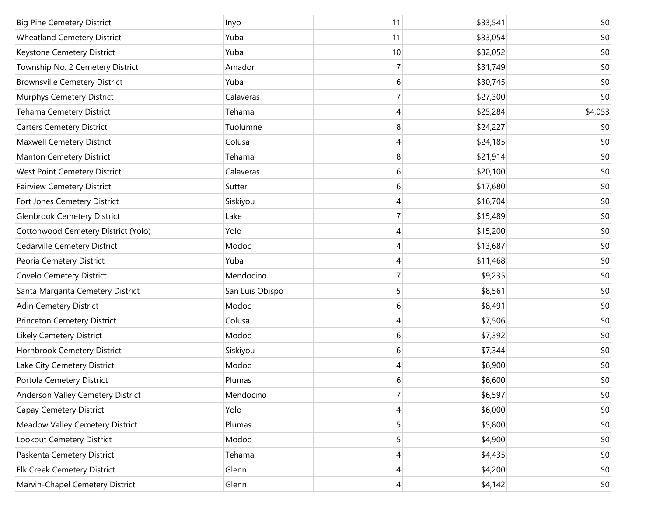| <b>Big Pine Cemetery District</b>    | Inyo            | 11             | \$33,541 | \$0     |
|--------------------------------------|-----------------|----------------|----------|---------|
| <b>Wheatland Cemetery District</b>   | Yuba            | 11             | \$33,054 | \$0     |
| Keystone Cemetery District           | Yuba            | 10             | \$32,052 | \$0     |
| Township No. 2 Cemetery District     | Amador          | 7              | \$31,749 | \$0     |
| <b>Brownsville Cemetery District</b> | Yuba            | 6              | \$30,745 | \$0     |
| Murphys Cemetery District            | Calaveras       | 7              | \$27,300 | \$0     |
| Tehama Cemetery District             | Tehama          | 4              | \$25,284 | \$4,053 |
| <b>Carters Cemetery District</b>     | Tuolumne        | 8              | \$24,227 | \$0     |
| Maxwell Cemetery District            | Colusa          | 4              | \$24,185 | \$0     |
| Manton Cemetery District             | Tehama          | 8              | \$21,914 | \$0     |
| West Point Cemetery District         | Calaveras       | 6              | \$20,100 | \$0     |
| <b>Fairview Cemetery District</b>    | Sutter          | 6              | \$17,680 | \$0     |
| Fort Jones Cemetery District         | Siskiyou        | 4              | \$16,704 | \$0     |
| <b>Glenbrook Cemetery District</b>   | Lake            | 7              | \$15,489 | \$0     |
| Cottonwood Cemetery District (Yolo)  | Yolo            | 4              | \$15,200 | \$0     |
| Cedarville Cemetery District         | Modoc           | 4              | \$13,687 | \$0     |
| Peoria Cemetery District             | Yuba            | 4              | \$11,468 | \$0     |
| Covelo Cemetery District             | Mendocino       | 7              | \$9,235  | \$0     |
| Santa Margarita Cemetery District    | San Luis Obispo | 5              | \$8,561  | \$0     |
| Adin Cemetery District               | Modoc           | 6              | \$8,491  | \$0     |
| Princeton Cemetery District          | Colusa          | 4              | \$7,506  | \$0     |
| Likely Cemetery District             | Modoc           | 6              | \$7,392  | \$0     |
| Hornbrook Cemetery District          | Siskiyou        | 6              | \$7,344  | \$0     |
| Lake City Cemetery District          | Modoc           | 4              | \$6,900  | \$0     |
| Portola Cemetery District            | Plumas          | 6              | \$6,600  | \$0     |
| Anderson Valley Cemetery District    | Mendocino       | 7              | \$6,597  | \$0     |
| Capay Cemetery District              | Yolo            | 4              | \$6,000  | \$0     |
| Meadow Valley Cemetery District      | Plumas          | 5              | \$5,800  | \$0     |
| Lookout Cemetery District            | Modoc           | 5              | \$4,900  | \$0     |
| Paskenta Cemetery District           | Tehama          | 4              | \$4,435  | \$0     |
| <b>Elk Creek Cemetery District</b>   | Glenn           | 4              | \$4,200  | \$0     |
| Marvin-Chapel Cemetery District      | Glenn           | $\overline{4}$ | \$4,142  | \$0     |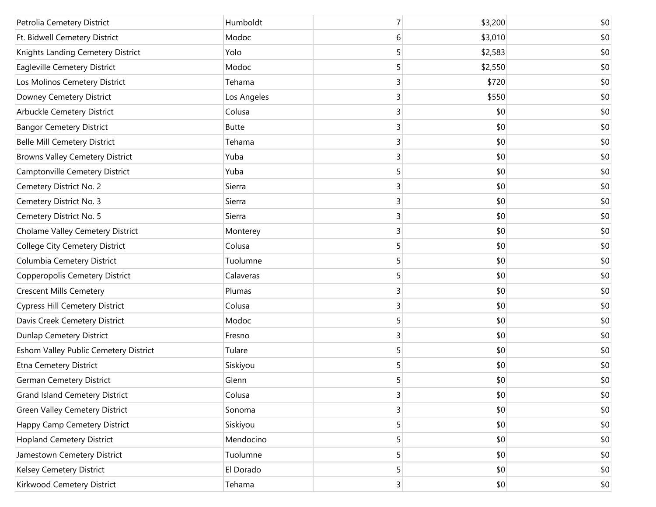| Petrolia Cemetery District             | Humboldt     | 7              | \$3,200 | \$0 |
|----------------------------------------|--------------|----------------|---------|-----|
| Ft. Bidwell Cemetery District          | Modoc        | 6              | \$3,010 | \$0 |
| Knights Landing Cemetery District      | Yolo         | 5              | \$2,583 | \$0 |
| Eagleville Cemetery District           | Modoc        | 5              | \$2,550 | \$0 |
| Los Molinos Cemetery District          | Tehama       | 3              | \$720   | \$0 |
| Downey Cemetery District               | Los Angeles  | 3              | \$550   | \$0 |
| Arbuckle Cemetery District             | Colusa       | 3              | \$0     | \$0 |
| <b>Bangor Cemetery District</b>        | <b>Butte</b> | 3              | \$0     | \$0 |
| <b>Belle Mill Cemetery District</b>    | Tehama       | 3              | \$0     | \$0 |
| <b>Browns Valley Cemetery District</b> | Yuba         | 3              | \$0     | \$0 |
| Camptonville Cemetery District         | Yuba         | 5              | \$0     | \$0 |
| Cemetery District No. 2                | Sierra       | 3              | \$0     | \$0 |
| Cemetery District No. 3                | Sierra       | 3              | \$0     | \$0 |
| Cemetery District No. 5                | Sierra       | 3              | \$0     | \$0 |
| Cholame Valley Cemetery District       | Monterey     | 3              | \$0     | \$0 |
| College City Cemetery District         | Colusa       | 5              | \$0     | \$0 |
| Columbia Cemetery District             | Tuolumne     | 5              | \$0     | \$0 |
| Copperopolis Cemetery District         | Calaveras    | 5              | \$0     | \$0 |
| <b>Crescent Mills Cemetery</b>         | Plumas       | 3              | \$0     | \$0 |
| <b>Cypress Hill Cemetery District</b>  | Colusa       | 3              | \$0     | \$0 |
| Davis Creek Cemetery District          | Modoc        | 5              | \$0     | \$0 |
| <b>Dunlap Cemetery District</b>        | Fresno       | 3              | \$0     | \$0 |
| Eshom Valley Public Cemetery District  | Tulare       | 5              | \$0     | \$0 |
| Etna Cemetery District                 | Siskiyou     | 5              | \$0     | \$0 |
| <b>German Cemetery District</b>        | Glenn        | 5              | \$0     | \$0 |
| <b>Grand Island Cemetery District</b>  | Colusa       | 3              | \$0     | \$0 |
| <b>Green Valley Cemetery District</b>  | Sonoma       | 3              | \$0     | \$0 |
| Happy Camp Cemetery District           | Siskiyou     | 5              | \$0     | \$0 |
| <b>Hopland Cemetery District</b>       | Mendocino    | 5              | \$0     | \$0 |
| Jamestown Cemetery District            | Tuolumne     | 5              | \$0     | \$0 |
| Kelsey Cemetery District               | El Dorado    | 5              | \$0     | \$0 |
| Kirkwood Cemetery District             | Tehama       | 3 <sup>2</sup> | \$0     | \$0 |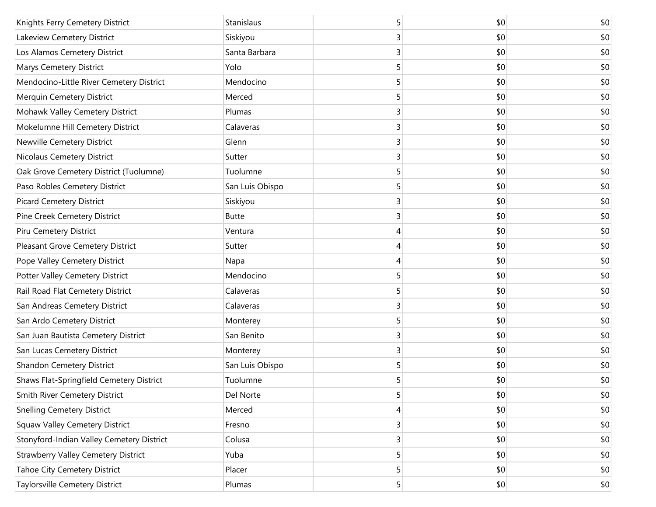| Knights Ferry Cemetery District            | Stanislaus      | 5              | \$0 | \$0 |
|--------------------------------------------|-----------------|----------------|-----|-----|
| Lakeview Cemetery District                 | Siskiyou        | 3              | \$0 | \$0 |
| Los Alamos Cemetery District               | Santa Barbara   | 3              | \$0 | \$0 |
| Marys Cemetery District                    | Yolo            | 5              | \$0 | \$0 |
| Mendocino-Little River Cemetery District   | Mendocino       | 5              | \$0 | \$0 |
| Merquin Cemetery District                  | Merced          | 5              | \$0 | \$0 |
| Mohawk Valley Cemetery District            | Plumas          | 3              | \$0 | \$0 |
| Mokelumne Hill Cemetery District           | Calaveras       | 3              | \$0 | \$0 |
| Newville Cemetery District                 | Glenn           | 3              | \$0 | \$0 |
| <b>Nicolaus Cemetery District</b>          | Sutter          | 3              | \$0 | \$0 |
| Oak Grove Cemetery District (Tuolumne)     | Tuolumne        | 5              | \$0 | \$0 |
| Paso Robles Cemetery District              | San Luis Obispo | 5              | \$0 | \$0 |
| <b>Picard Cemetery District</b>            | Siskiyou        | 3              | \$0 | \$0 |
| Pine Creek Cemetery District               | <b>Butte</b>    | 3              | \$0 | \$0 |
| Piru Cemetery District                     | Ventura         | 4              | \$0 | \$0 |
| Pleasant Grove Cemetery District           | Sutter          | 4              | \$0 | \$0 |
| Pope Valley Cemetery District              | Napa            | 4              | \$0 | \$0 |
| Potter Valley Cemetery District            | Mendocino       | 5              | \$0 | \$0 |
| Rail Road Flat Cemetery District           | Calaveras       | 5              | \$0 | \$0 |
| San Andreas Cemetery District              | Calaveras       | 3              | \$0 | \$0 |
| San Ardo Cemetery District                 | Monterey        | 5              | \$0 | \$0 |
| San Juan Bautista Cemetery District        | San Benito      | 3              | \$0 | \$0 |
| San Lucas Cemetery District                | Monterey        | 3              | \$0 | \$0 |
| <b>Shandon Cemetery District</b>           | San Luis Obispo | 5              | \$0 | \$0 |
| Shaws Flat-Springfield Cemetery District   | Tuolumne        | 5              | \$0 | \$0 |
| Smith River Cemetery District              | Del Norte       | 5              | \$0 | \$0 |
| <b>Snelling Cemetery District</b>          | Merced          | 4              | \$0 | \$0 |
| <b>Squaw Valley Cemetery District</b>      | Fresno          | 3              | \$0 | \$0 |
| Stonyford-Indian Valley Cemetery District  | Colusa          | 3              | \$0 | \$0 |
| <b>Strawberry Valley Cemetery District</b> | Yuba            | 5              | \$0 | \$0 |
| <b>Tahoe City Cemetery District</b>        | Placer          | 5              | \$0 | \$0 |
| Taylorsville Cemetery District             | Plumas          | 5 <sup>1</sup> | \$0 | \$0 |